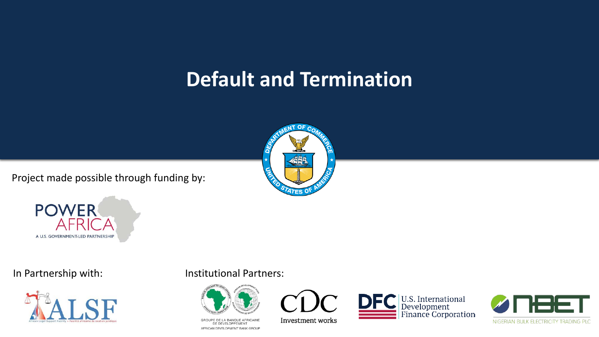### **Default and Termination**

Project made possible through funding by:





**POWER** 

AFR

A U.S. GOVERNMENT-LED PARTNERSHIP



In Partnership with: Institutional Partners:



GROUPE DE LA BANQUE AFRICAINE DE DÉVELOPPEMENT AFRICAN DEVELOPMENT BANK GROUP



U.S. International<br>Development<br>Finance Corporation

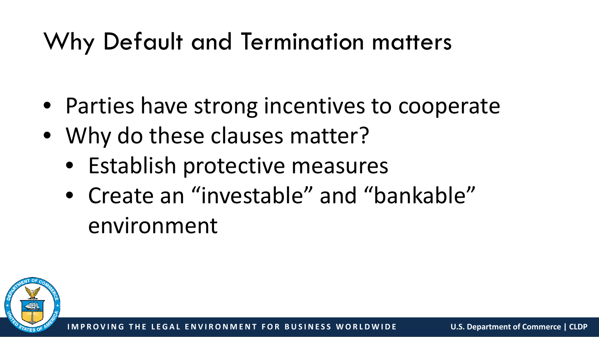## Why Default and Termination matters

- Parties have strong incentives to cooperate
- Why do these clauses matter?
	- Establish protective measures
	- Create an "investable" and "bankable" environment

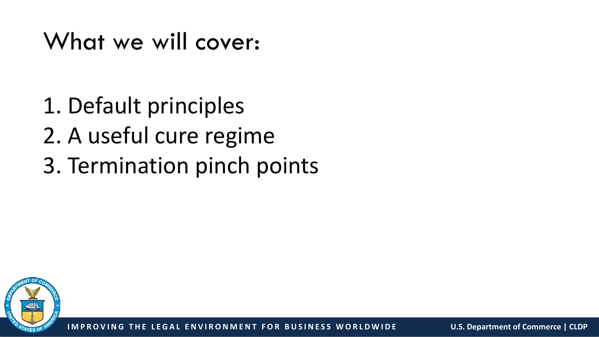What we will cover:

1. Default principles 2. A useful cure regime 3. Termination pinch points

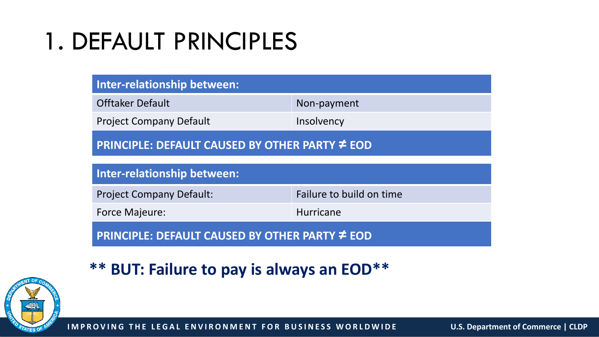## 1. DEFAULT PRINCIPLES

| Inter-relationship between:                    |                          |
|------------------------------------------------|--------------------------|
| <b>Offtaker Default</b>                        | Non-payment              |
| <b>Project Company Default</b>                 | Insolvency               |
| PRINCIPLE: DEFAULT CAUSED BY OTHER PARTY ≠ EOD |                          |
| <b>Inter-relationship between:</b>             |                          |
| <b>Project Company Default:</b>                | Failure to build on time |
| <b>Force Majeure:</b>                          | <b>Hurricane</b>         |
| PRINCIPLE: DEFAULT CAUSED BY OTHER PARTY ≠ EOD |                          |

#### **\*\* BUT: Failure to pay is always an EOD\*\***

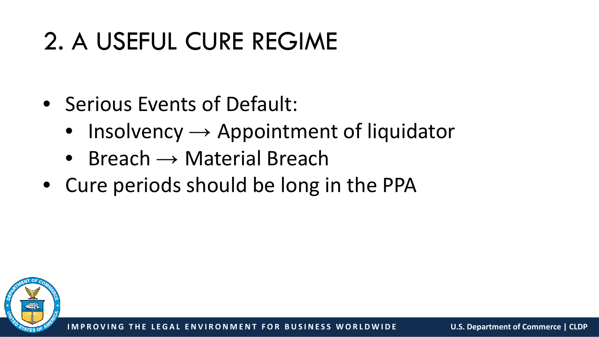## 2. A USEFUL CURE REGIME

- Serious Events of Default:
	- Insolvency  $\rightarrow$  Appointment of liquidator
	- Breach  $\rightarrow$  Material Breach
- Cure periods should be long in the PPA

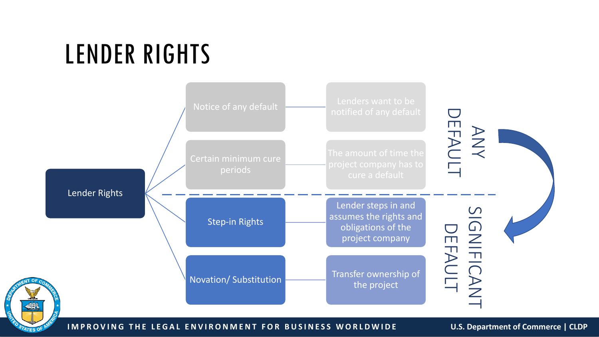# LENDER RIGHTS

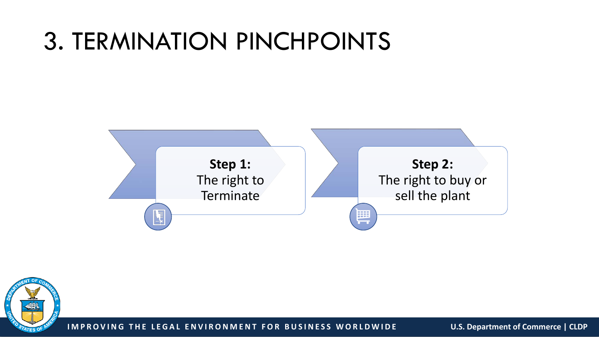### 3. TERMINATION PINCHPOINTS



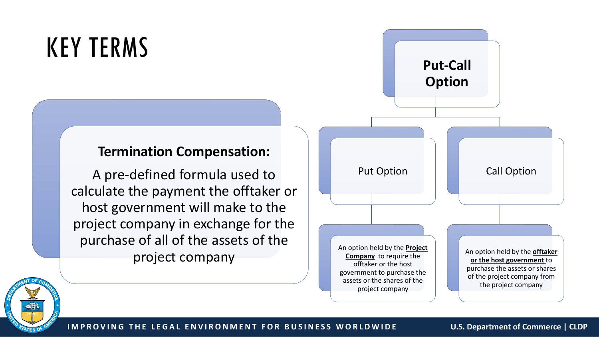# KEY TERMS

#### **Termination Compensation:**

A pre-defined formula used to calculate the payment the offtaker or host government will make to the project company in exchange for the purchase of all of the assets of the project company





**IMPROVING THE LEGAL ENVIRONMENT FOR BUSINESS WORLDWIDE U.S. Department of Commerce | CLDP**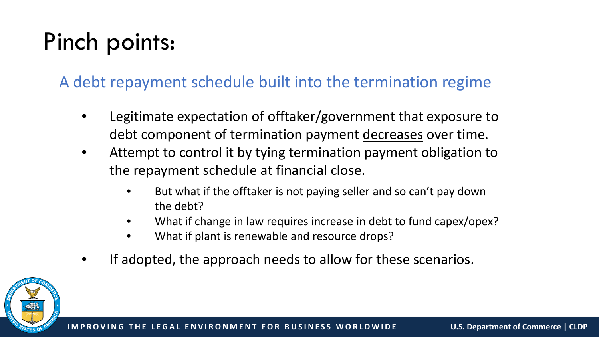## Pinch points:

#### A debt repayment schedule built into the termination regime

- Legitimate expectation of offtaker/government that exposure to debt component of termination payment decreases over time.
- Attempt to control it by tying termination payment obligation to the repayment schedule at financial close.
	- But what if the offtaker is not paying seller and so can't pay down the debt?
	- What if change in law requires increase in debt to fund capex/opex?
	- What if plant is renewable and resource drops?
- If adopted, the approach needs to allow for these scenarios.

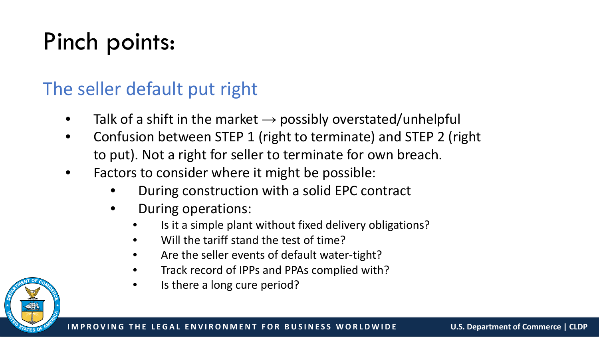## Pinch points:

### The seller default put right

- Talk of a shift in the market  $\rightarrow$  possibly overstated/unhelpful
- Confusion between STEP 1 (right to terminate) and STEP 2 (right to put). Not a right for seller to terminate for own breach.
- Factors to consider where it might be possible:
	- During construction with a solid EPC contract
	- During operations:
		- Is it a simple plant without fixed delivery obligations?
		- Will the tariff stand the test of time?
		- Are the seller events of default water-tight?
		- Track record of IPPs and PPAs complied with?
		- Is there a long cure period?